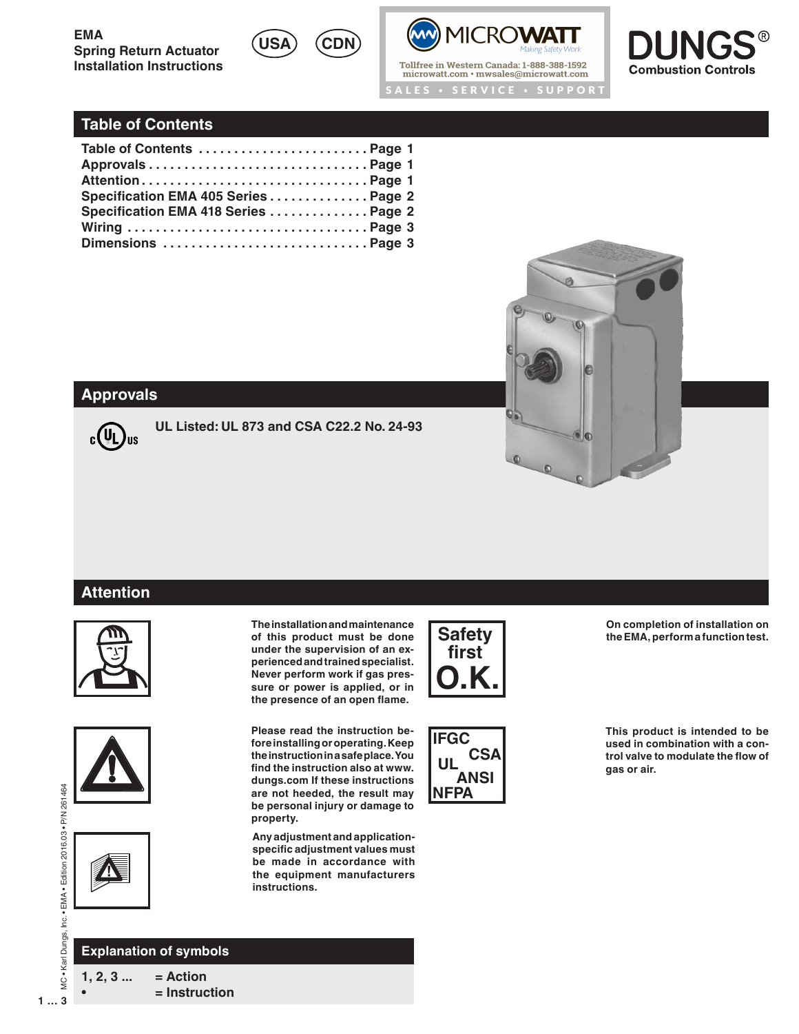



Tollfree in Western Canada: 1-888-388-1592 microwatt.com · mwsales@microwatt.com ALES • SERVICE • SUPPORT



# **Table of Contents**

| Table of Contents  Page 1            |  |
|--------------------------------------|--|
|                                      |  |
|                                      |  |
| Specification EMA 405 Series Page 2  |  |
| Specification EMA 418 Series  Page 2 |  |
|                                      |  |
|                                      |  |



# **Approvals**



**UL Listed: UL 873 and CSA C22.2 No. 24-93**

### **Attention**









 $1...3$ 

### **Explanation of symbols**

**1, 2, 3 ... = Action • = Instruction** **The installation and maintenance of this product must be done under the supervision of an experienced and trained specialist. Never perform work if gas pressure or power is applied, or in the presence of an open flame.**

**Please read the instruction before installing or operating. Keep the instruction in a safe place. You find the instruction also at www. dungs.com If these instructions are not heeded, the result may be personal injury or damage to property.**

**Any adjustment and applicationspecific adjustment values must be made in accordance with the equipment manufacturers instructions.**



**IFGC CSA UL ANSI NFPA**

**On completion of installation on the EMA, perform a function test.**

**This product is intended to be used in combination with a control valve to modulate the flow of gas or air.**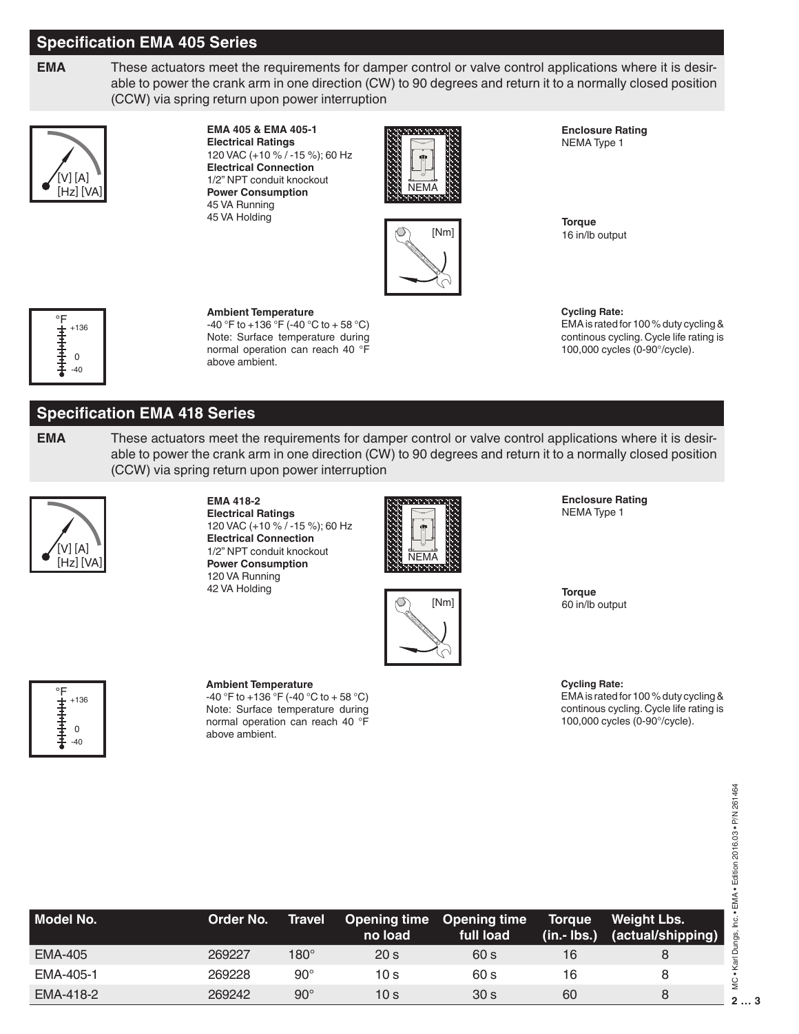# **Specification EMA 405 Series**

**EMA** These actuators meet the requirements for damper control or valve control applications where it is desirable to power the crank arm in one direction (CW) to 90 degrees and return it to a normally closed position (CCW) via spring return upon power interruption



#### **EMA 405 & EMA 405-1 Electrical Ratings**

120 VAC (+10 % / -15 %); 60 Hz **Electrical Connection** 1/2" NPT conduit knockout **Power Consumption** 45 VA Running 45 VA Holding



**Enclosure Rating** NEMA Type 1



**Torque** 16 in/lb output



#### **Ambient Temperature**

 $-40$  °F to  $+136$  °F ( $-40$  °C to  $+58$  °C) Note: Surface temperature during normal operation can reach 40 °F above ambient.

**Cycling Rate:** EMA is rated for 100 % duty cycling & continous cycling. Cycle life rating is 100,000 cycles (0-90°/cycle).

# **Specification EMA 418 Series**

**EMA** These actuators meet the requirements for damper control or valve control applications where it is desirable to power the crank arm in one direction (CW) to 90 degrees and return it to a normally closed position (CCW) via spring return upon power interruption



#### **EMA 418-2 Electrical Ratings** 120 VAC (+10 % / -15 %); 60 Hz **Electrical Connection** 1/2" NPT conduit knockout **Power Consumption** 120 VA Running

42 VA Holding





**Enclosure Rating** NEMA Type 1

**Torque** 60 in/lb output

#### **Cycling Rate:**

EMA is rated for 100 % duty cycling & continous cycling. Cycle life rating is 100,000 cycles (0-90°/cycle).

#### **Ambient Temperature**

 $-40$  °F to  $+136$  °F ( $-40$  °C to  $+58$  °C) Note: Surface temperature during normal operation can reach 40 °F above ambient.

| Model No.      | Order No. | <b>Travel</b> | <b>Opening time Opening time</b><br>no load | full load       | Torque <sup>1</sup><br>$(in.- lbs.)$ | <b>Weight Lbs.</b><br>(actual/shipping) |
|----------------|-----------|---------------|---------------------------------------------|-----------------|--------------------------------------|-----------------------------------------|
| <b>EMA-405</b> | 269227    | $180^\circ$   | 20 <sub>s</sub>                             | 60 s            | 16                                   |                                         |
| EMA-405-1      | 269228    | $90^{\circ}$  | 10 s                                        | 60 s            | 16                                   |                                         |
| EMA-418-2      | 269242    | $90^{\circ}$  | 10 s                                        | 30 <sub>s</sub> | 60                                   |                                         |